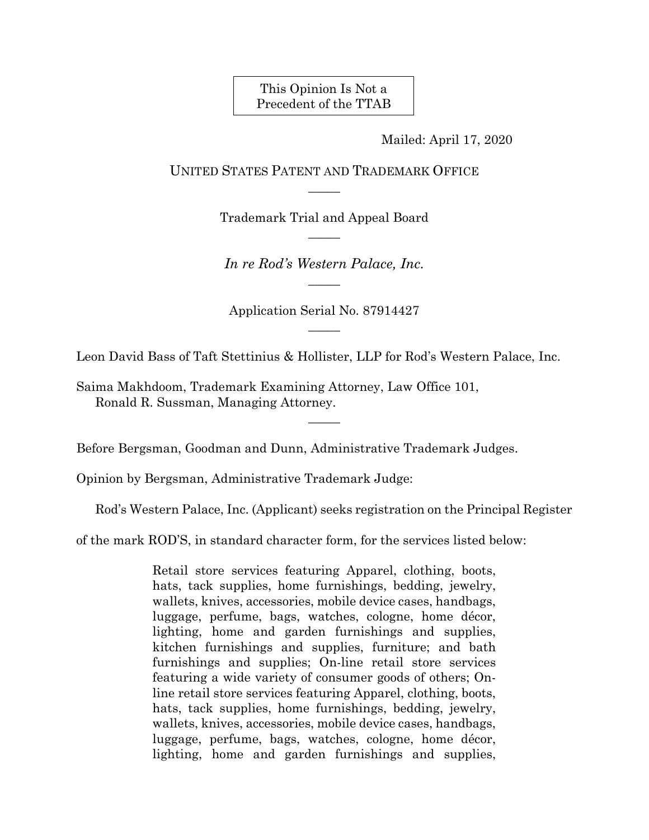This Opinion Is Not a Precedent of the TTAB

Mailed: April 17, 2020

UNITED STATES PATENT AND TRADEMARK OFFICE  $\overline{\phantom{a}}$ 

> Trademark Trial and Appeal Board  $\overline{\phantom{a}}$

*In re Rod's Western Palace, Inc.*  $\overline{\phantom{a}}$ 

Application Serial No. 87914427  $\overline{\phantom{a}}$ 

Leon David Bass of Taft Stettinius & Hollister, LLP for Rod's Western Palace, Inc.

 $\overline{\phantom{a}}$ 

Saima Makhdoom, Trademark Examining Attorney, Law Office 101, Ronald R. Sussman, Managing Attorney.

Before Bergsman, Goodman and Dunn, Administrative Trademark Judges.

Opinion by Bergsman, Administrative Trademark Judge:

Rod's Western Palace, Inc. (Applicant) seeks registration on the Principal Register

of the mark ROD'S, in standard character form, for the services listed below:

Retail store services featuring Apparel, clothing, boots, hats, tack supplies, home furnishings, bedding, jewelry, wallets, knives, accessories, mobile device cases, handbags, luggage, perfume, bags, watches, cologne, home décor, lighting, home and garden furnishings and supplies, kitchen furnishings and supplies, furniture; and bath furnishings and supplies; On-line retail store services featuring a wide variety of consumer goods of others; Online retail store services featuring Apparel, clothing, boots, hats, tack supplies, home furnishings, bedding, jewelry, wallets, knives, accessories, mobile device cases, handbags, luggage, perfume, bags, watches, cologne, home décor, lighting, home and garden furnishings and supplies,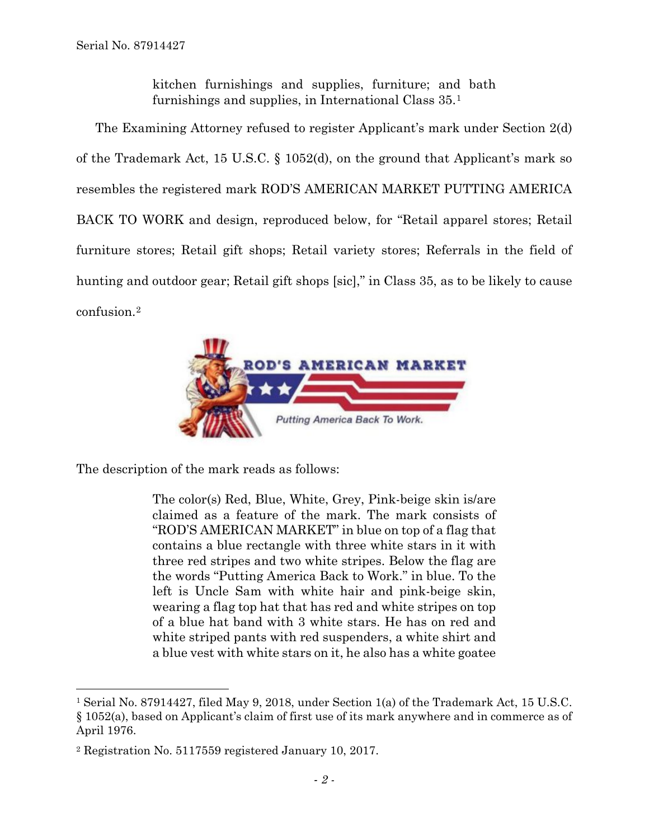kitchen furnishings and supplies, furniture; and bath furnishings and supplies, in International Class 35.[1](#page-1-0)

The Examining Attorney refused to register Applicant's mark under Section 2(d) of the Trademark Act, 15 U.S.C. § 1052(d), on the ground that Applicant's mark so resembles the registered mark ROD'S AMERICAN MARKET PUTTING AMERICA BACK TO WORK and design, reproduced below, for "Retail apparel stores; Retail furniture stores; Retail gift shops; Retail variety stores; Referrals in the field of hunting and outdoor gear; Retail gift shops [sic]," in Class 35, as to be likely to cause confusion[.2](#page-1-1)



The description of the mark reads as follows:

The color(s) Red, Blue, White, Grey, Pink-beige skin is/are claimed as a feature of the mark. The mark consists of "ROD'S AMERICAN MARKET" in blue on top of a flag that contains a blue rectangle with three white stars in it with three red stripes and two white stripes. Below the flag are the words "Putting America Back to Work." in blue. To the left is Uncle Sam with white hair and pink-beige skin, wearing a flag top hat that has red and white stripes on top of a blue hat band with 3 white stars. He has on red and white striped pants with red suspenders, a white shirt and a blue vest with white stars on it, he also has a white goatee

<span id="page-1-0"></span> <sup>1</sup> Serial No. 87914427, filed May 9, 2018, under Section 1(a) of the Trademark Act, 15 U.S.C. § 1052(a), based on Applicant's claim of first use of its mark anywhere and in commerce as of April 1976.

<span id="page-1-1"></span><sup>2</sup> Registration No. 5117559 registered January 10, 2017.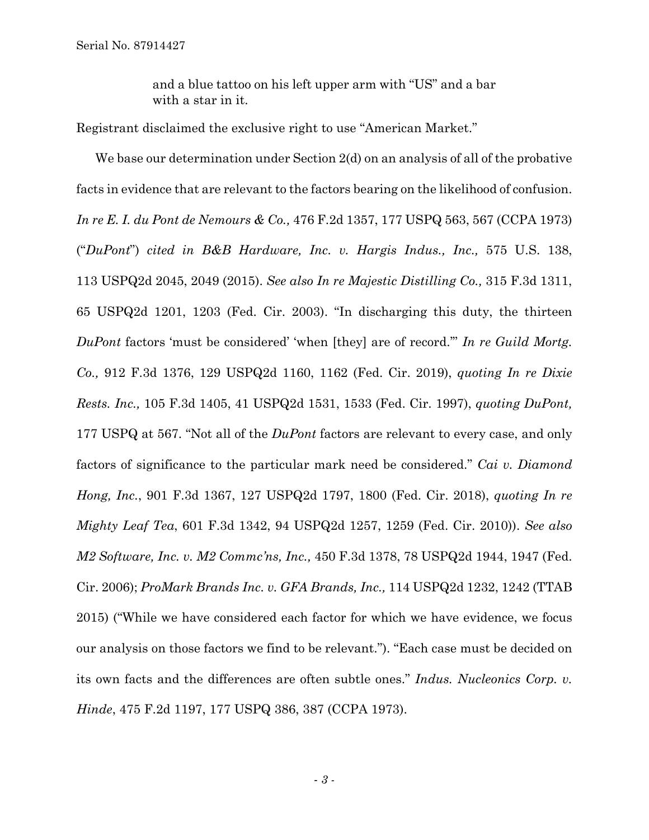and a blue tattoo on his left upper arm with "US" and a bar with a star in it.

Registrant disclaimed the exclusive right to use "American Market."

We base our determination under Section 2(d) on an analysis of all of the probative facts in evidence that are relevant to the factors bearing on the likelihood of confusion. *In re E. I. du Pont de Nemours & Co.,* 476 F.2d 1357, 177 USPQ 563, 567 (CCPA 1973) ("*DuPont*") *cited in B&B Hardware, Inc. v. Hargis Indus., Inc.,* 575 U.S. 138, 113 USPQ2d 2045, 2049 (2015). *See also In re Majestic Distilling Co.,* 315 F.3d 1311, 65 USPQ2d 1201, 1203 (Fed. Cir. 2003). "In discharging this duty, the thirteen *DuPont* factors 'must be considered' 'when [they] are of record.'" *In re Guild Mortg. Co.,* 912 F.3d 1376, 129 USPQ2d 1160, 1162 (Fed. Cir. 2019), *quoting In re Dixie Rests. Inc.,* 105 F.3d 1405, 41 USPQ2d 1531, 1533 (Fed. Cir. 1997), *quoting DuPont,*  177 USPQ at 567. "Not all of the *DuPont* factors are relevant to every case, and only factors of significance to the particular mark need be considered." *Cai v. Diamond Hong, Inc.*, 901 F.3d 1367, 127 USPQ2d 1797, 1800 (Fed. Cir. 2018), *quoting In re Mighty Leaf Tea*, 601 F.3d 1342, 94 USPQ2d 1257, 1259 (Fed. Cir. 2010)). *See also M2 Software, Inc. v. M2 Commc'ns, Inc.,* 450 F.3d 1378, 78 USPQ2d 1944, 1947 (Fed. Cir. 2006); *ProMark Brands Inc. v. GFA Brands, Inc.,* 114 USPQ2d 1232, 1242 (TTAB 2015) ("While we have considered each factor for which we have evidence, we focus our analysis on those factors we find to be relevant."). "Each case must be decided on its own facts and the differences are often subtle ones." *Indus. Nucleonics Corp. v. Hinde*, 475 F.2d 1197, 177 USPQ 386, 387 (CCPA 1973).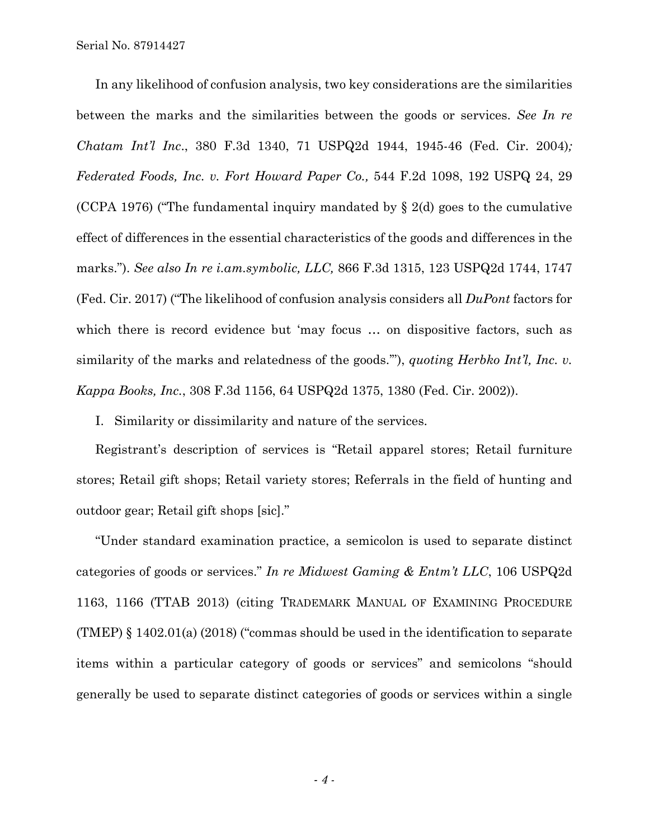In any likelihood of confusion analysis, two key considerations are the similarities between the marks and the similarities between the goods or services. *See In re Chatam Int'l Inc*., 380 F.3d 1340, 71 USPQ2d 1944, 1945-46 (Fed. Cir. 2004)*; Federated Foods, Inc. v. Fort Howard Paper Co.,* 544 F.2d 1098, 192 USPQ 24, 29 (CCPA 1976) ("The fundamental inquiry mandated by  $\S 2(d)$  goes to the cumulative effect of differences in the essential characteristics of the goods and differences in the marks."). *See also In re i.am.symbolic, LLC,* 866 F.3d 1315, 123 USPQ2d 1744, 1747 (Fed. Cir. 2017) ("The likelihood of confusion analysis considers all *DuPont* factors for which there is record evidence but 'may focus ... on dispositive factors, such as similarity of the marks and relatedness of the goods.'"), *quotin*g *Herbko Int'l, Inc. v. Kappa Books, Inc.*, 308 F.3d 1156, 64 USPQ2d 1375, 1380 (Fed. Cir. 2002)).

I. Similarity or dissimilarity and nature of the services.

Registrant's description of services is "Retail apparel stores; Retail furniture stores; Retail gift shops; Retail variety stores; Referrals in the field of hunting and outdoor gear; Retail gift shops [sic]."

"Under standard examination practice, a semicolon is used to separate distinct categories of goods or services." *In re Midwest Gaming & Entm't LLC*, 106 USPQ2d 1163, 1166 (TTAB 2013) (citing TRADEMARK MANUAL OF EXAMINING PROCEDURE (TMEP) § 1402.01(a) (2018) ("commas should be used in the identification to separate items within a particular category of goods or services" and semicolons "should generally be used to separate distinct categories of goods or services within a single

*- 4 -*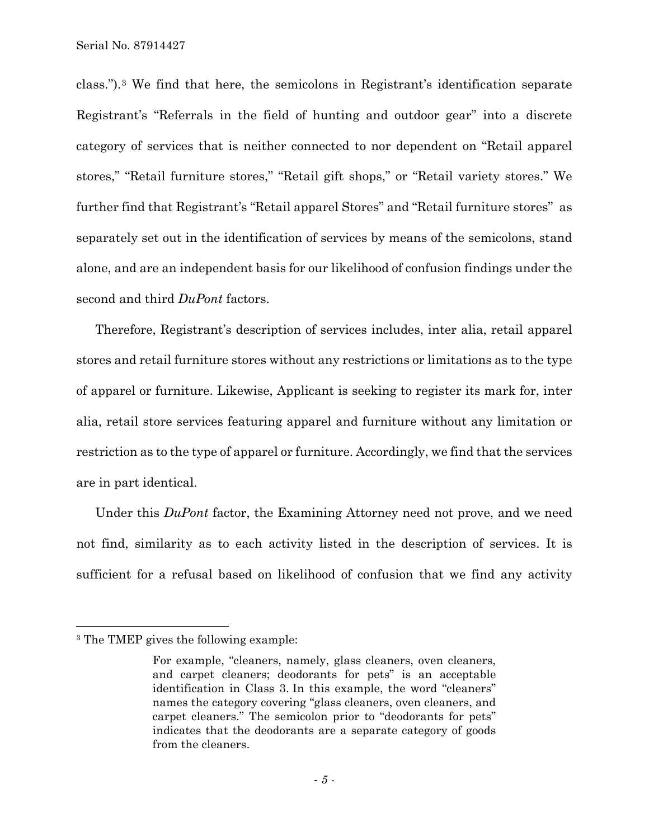class.").[3](#page-4-0) We find that here, the semicolons in Registrant's identification separate Registrant's "Referrals in the field of hunting and outdoor gear" into a discrete category of services that is neither connected to nor dependent on "Retail apparel stores," "Retail furniture stores," "Retail gift shops," or "Retail variety stores." We further find that Registrant's "Retail apparel Stores" and "Retail furniture stores" as separately set out in the identification of services by means of the semicolons, stand alone, and are an independent basis for our likelihood of confusion findings under the second and third *DuPont* factors.

Therefore, Registrant's description of services includes, inter alia, retail apparel stores and retail furniture stores without any restrictions or limitations as to the type of apparel or furniture. Likewise, Applicant is seeking to register its mark for, inter alia, retail store services featuring apparel and furniture without any limitation or restriction as to the type of apparel or furniture. Accordingly, we find that the services are in part identical.

Under this *DuPont* factor, the Examining Attorney need not prove, and we need not find, similarity as to each activity listed in the description of services. It is sufficient for a refusal based on likelihood of confusion that we find any activity

<span id="page-4-0"></span> <sup>3</sup> The TMEP gives the following example:

For example, "cleaners, namely, glass cleaners, oven cleaners, and carpet cleaners; deodorants for pets" is an acceptable identification in Class 3. In this example, the word "cleaners" names the category covering "glass cleaners, oven cleaners, and carpet cleaners." The semicolon prior to "deodorants for pets" indicates that the deodorants are a separate category of goods from the cleaners.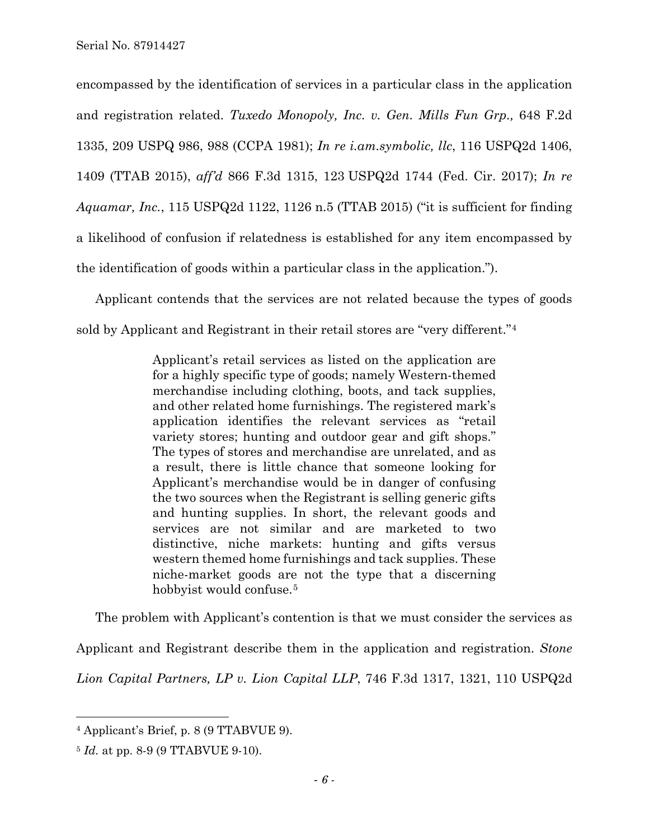encompassed by the identification of services in a particular class in the application and registration related. *Tuxedo Monopoly, Inc. v. Gen. Mills Fun Grp.,* 648 F.2d 1335, 209 USPQ 986, 988 (CCPA 1981); *In re i.am.symbolic, llc*, 116 USPQ2d 1406, 1409 (TTAB 2015), *aff'd* 866 F.3d 1315, 123 USPQ2d 1744 (Fed. Cir. 2017); *In re Aquamar, Inc.*, 115 USPQ2d 1122, 1126 n.5 (TTAB 2015) ("it is sufficient for finding a likelihood of confusion if relatedness is established for any item encompassed by the identification of goods within a particular class in the application.").

Applicant contends that the services are not related because the types of goods sold by Applicant and Registrant in their retail stores are "very different."[4](#page-5-0)

> Applicant's retail services as listed on the application are for a highly specific type of goods; namely Western-themed merchandise including clothing, boots, and tack supplies, and other related home furnishings. The registered mark's application identifies the relevant services as "retail variety stores; hunting and outdoor gear and gift shops." The types of stores and merchandise are unrelated, and as a result, there is little chance that someone looking for Applicant's merchandise would be in danger of confusing the two sources when the Registrant is selling generic gifts and hunting supplies. In short, the relevant goods and services are not similar and are marketed to two distinctive, niche markets: hunting and gifts versus western themed home furnishings and tack supplies. These niche-market goods are not the type that a discerning hobbyist would confuse.<sup>[5](#page-5-1)</sup>

The problem with Applicant's contention is that we must consider the services as Applicant and Registrant describe them in the application and registration. *Stone* 

*Lion Capital Partners, LP v. Lion Capital LLP*, 746 F.3d 1317, 1321, 110 USPQ2d

<span id="page-5-0"></span> <sup>4</sup> Applicant's Brief, p. 8 (9 TTABVUE 9).

<span id="page-5-1"></span><sup>5</sup> *Id.* at pp. 8-9 (9 TTABVUE 9-10).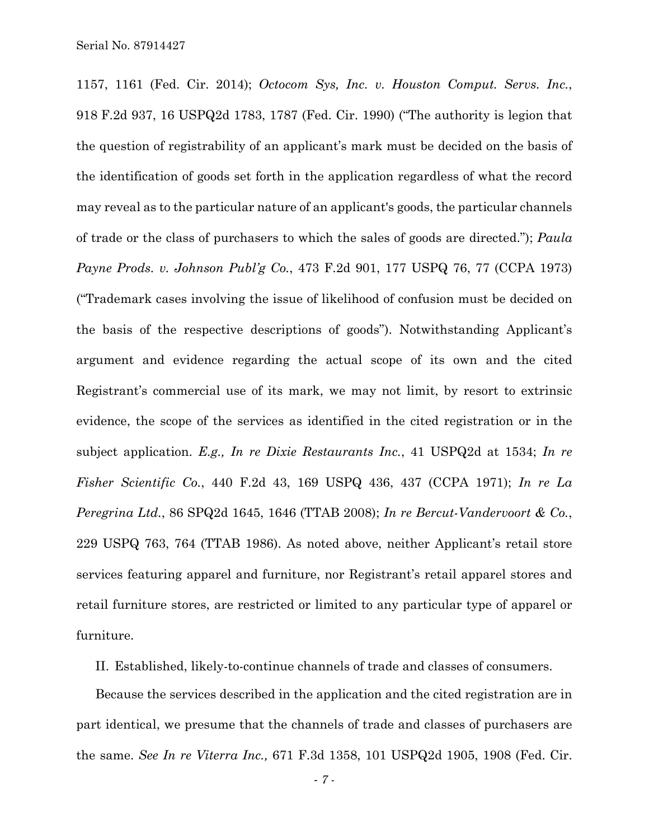1157, 1161 (Fed. Cir. 2014); *Octocom Sys, Inc. v. Houston Comput. Servs. Inc.*, 918 F.2d 937, 16 USPQ2d 1783, 1787 (Fed. Cir. 1990) ("The authority is legion that the question of registrability of an applicant's mark must be decided on the basis of the identification of goods set forth in the application regardless of what the record may reveal as to the particular nature of an applicant's goods, the particular channels of trade or the class of purchasers to which the sales of goods are directed."); *Paula Payne Prods. v. Johnson Publ'g Co.*, 473 F.2d 901, 177 USPQ 76, 77 (CCPA 1973) ("Trademark cases involving the issue of likelihood of confusion must be decided on the basis of the respective descriptions of goods"). Notwithstanding Applicant's argument and evidence regarding the actual scope of its own and the cited Registrant's commercial use of its mark, we may not limit, by resort to extrinsic evidence, the scope of the services as identified in the cited registration or in the subject application. *E.g., In re Dixie Restaurants Inc.*, 41 USPQ2d at 1534; *In re Fisher Scientific Co.*, 440 F.2d 43, 169 USPQ 436, 437 (CCPA 1971); *In re La Peregrina Ltd.*, 86 SPQ2d 1645, 1646 (TTAB 2008); *In re Bercut-Vandervoort & Co.*, 229 USPQ 763, 764 (TTAB 1986). As noted above, neither Applicant's retail store services featuring apparel and furniture, nor Registrant's retail apparel stores and retail furniture stores, are restricted or limited to any particular type of apparel or furniture.

II. Established, likely-to-continue channels of trade and classes of consumers.

Because the services described in the application and the cited registration are in part identical, we presume that the channels of trade and classes of purchasers are the same. *See In re Viterra Inc.,* 671 F.3d 1358, 101 USPQ2d 1905, 1908 (Fed. Cir.

*- 7 -*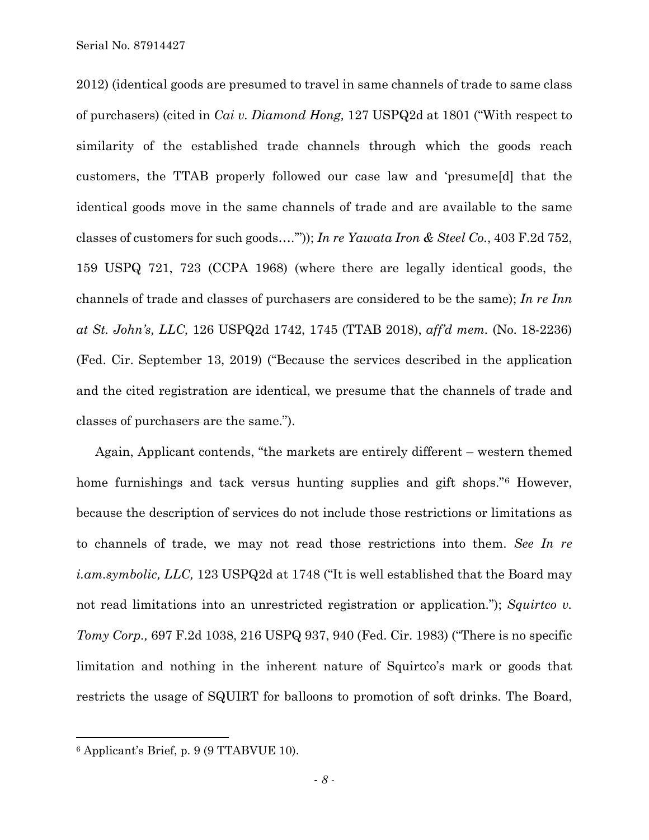2012) (identical goods are presumed to travel in same channels of trade to same class of purchasers) (cited in *Cai v. Diamond Hong,* 127 USPQ2d at 1801 ("With respect to similarity of the established trade channels through which the goods reach customers, the TTAB properly followed our case law and 'presume[d] that the identical goods move in the same channels of trade and are available to the same classes of customers for such goods….'")); *In re Yawata Iron & Steel Co.*, 403 F.2d 752, 159 USPQ 721, 723 (CCPA 1968) (where there are legally identical goods, the channels of trade and classes of purchasers are considered to be the same); *In re Inn at St. John's, LLC,* 126 USPQ2d 1742, 1745 (TTAB 2018), *aff'd mem.* (No. 18-2236) (Fed. Cir. September 13, 2019) ("Because the services described in the application and the cited registration are identical, we presume that the channels of trade and classes of purchasers are the same.").

Again, Applicant contends, "the markets are entirely different – western themed home furnishings and tack versus hunting supplies and gift shops."[6](#page-7-0) However, because the description of services do not include those restrictions or limitations as to channels of trade, we may not read those restrictions into them. *See In re i.am.symbolic, LLC,* 123 USPQ2d at 1748 ("It is well established that the Board may not read limitations into an unrestricted registration or application."); *Squirtco v. Tomy Corp.,* 697 F.2d 1038, 216 USPQ 937, 940 (Fed. Cir. 1983) ("There is no specific limitation and nothing in the inherent nature of Squirtco's mark or goods that restricts the usage of SQUIRT for balloons to promotion of soft drinks. The Board,

<span id="page-7-0"></span> <sup>6</sup> Applicant's Brief, p. 9 (9 TTABVUE 10).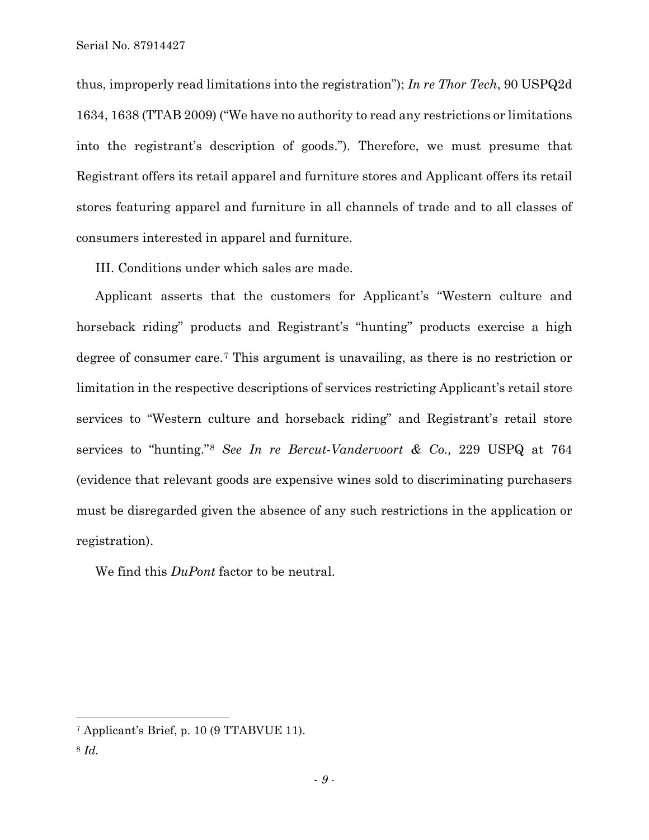thus, improperly read limitations into the registration"); *In re Thor Tech*, 90 USPQ2d 1634, 1638 (TTAB 2009) ("We have no authority to read any restrictions or limitations into the registrant's description of goods."). Therefore, we must presume that Registrant offers its retail apparel and furniture stores and Applicant offers its retail stores featuring apparel and furniture in all channels of trade and to all classes of consumers interested in apparel and furniture.

III. Conditions under which sales are made.

Applicant asserts that the customers for Applicant's "Western culture and horseback riding" products and Registrant's "hunting" products exercise a high degree of consumer care.[7](#page-8-0) This argument is unavailing, as there is no restriction or limitation in the respective descriptions of services restricting Applicant's retail store services to "Western culture and horseback riding" and Registrant's retail store services to "hunting."[8](#page-8-1) *See In re Bercut-Vandervoort & Co.,* 229 USPQ at 764 (evidence that relevant goods are expensive wines sold to discriminating purchasers must be disregarded given the absence of any such restrictions in the application or registration).

We find this *DuPont* factor to be neutral.

<span id="page-8-0"></span> <sup>7</sup> Applicant's Brief, p. 10 (9 TTABVUE 11).

<span id="page-8-1"></span><sup>8</sup> *Id.*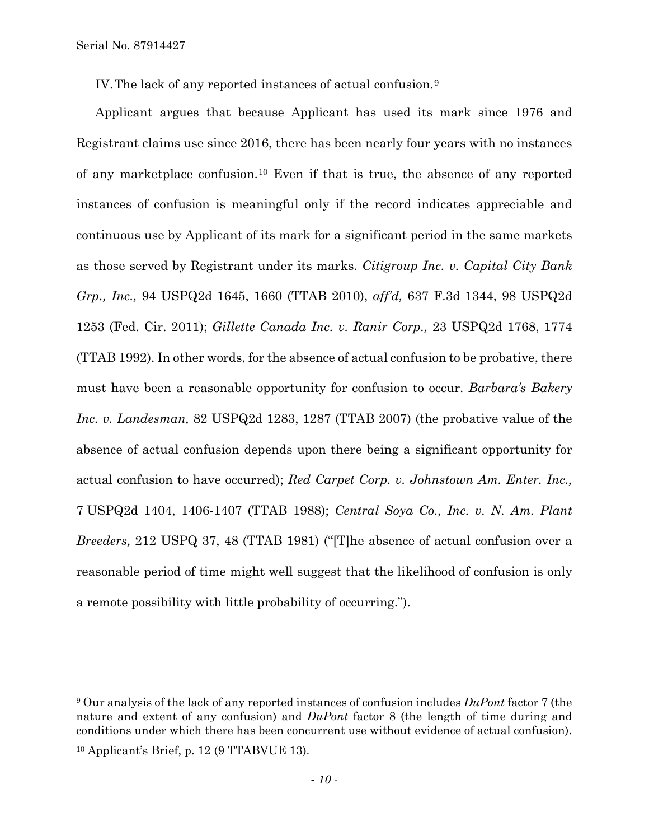IV.The lack of any reported instances of actual confusion.[9](#page-9-0)

Applicant argues that because Applicant has used its mark since 1976 and Registrant claims use since 2016, there has been nearly four years with no instances of any marketplace confusion.[10](#page-9-1) Even if that is true, the absence of any reported instances of confusion is meaningful only if the record indicates appreciable and continuous use by Applicant of its mark for a significant period in the same markets as those served by Registrant under its marks. *Citigroup Inc. v. Capital City Bank Grp., Inc.,* 94 USPQ2d 1645, 1660 (TTAB 2010), *aff'd,* 637 F.3d 1344, 98 USPQ2d 1253 (Fed. Cir. 2011); *Gillette Canada Inc. v. Ranir Corp.,* 23 USPQ2d 1768, 1774 (TTAB 1992). In other words, for the absence of actual confusion to be probative, there must have been a reasonable opportunity for confusion to occur. *Barbara's Bakery Inc. v. Landesman,* 82 USPQ2d 1283, 1287 (TTAB 2007) (the probative value of the absence of actual confusion depends upon there being a significant opportunity for actual confusion to have occurred); *Red Carpet Corp. v. Johnstown Am. Enter. Inc.,*  7 USPQ2d 1404, 1406-1407 (TTAB 1988); *Central Soya Co., Inc. v. N. Am. Plant Breeders,* 212 USPQ 37, 48 (TTAB 1981) ("[T]he absence of actual confusion over a reasonable period of time might well suggest that the likelihood of confusion is only a remote possibility with little probability of occurring.").

<span id="page-9-0"></span> <sup>9</sup> Our analysis of the lack of any reported instances of confusion includes *DuPont* factor 7 (the nature and extent of any confusion) and *DuPont* factor 8 (the length of time during and conditions under which there has been concurrent use without evidence of actual confusion).

<span id="page-9-1"></span><sup>10</sup> Applicant's Brief, p. 12 (9 TTABVUE 13).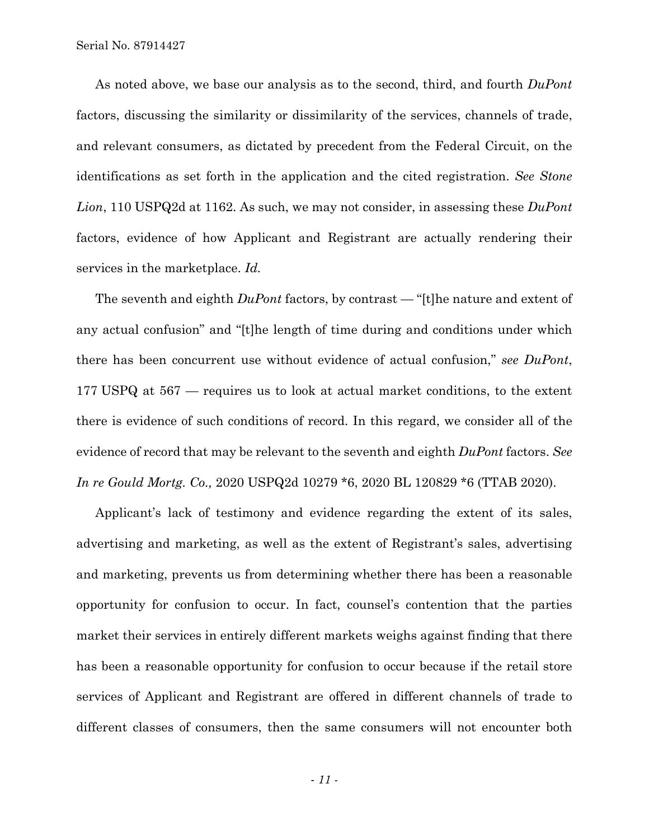As noted above, we base our analysis as to the second, third, and fourth *DuPont*  factors, discussing the similarity or dissimilarity of the services, channels of trade, and relevant consumers, as dictated by precedent from the Federal Circuit, on the identifications as set forth in the application and the cited registration. *See Stone Lion*, 110 USPQ2d at 1162. As such, we may not consider, in assessing these *DuPont* factors, evidence of how Applicant and Registrant are actually rendering their services in the marketplace. *Id.*

The seventh and eighth *DuPont* factors, by contrast — "[t]he nature and extent of any actual confusion" and "[t]he length of time during and conditions under which there has been concurrent use without evidence of actual confusion," *see DuPont*, 177 USPQ at 567 — requires us to look at actual market conditions, to the extent there is evidence of such conditions of record. In this regard, we consider all of the evidence of record that may be relevant to the seventh and eighth *[DuPont](https://www.bloomberglaw.com/product/ip/bc/W1siU2VhcmNoIFJlc3VsdHMiLCIvcHJvZHVjdC9pcC9zZWFyY2gvcmVzdWx0cy8yMTYwYjAwNzFkMTI4YTQzZmM4OTc2YWMzMzg4N2NiYSJdLFsiRG9jdW1lbnQiLCIvcHJvZHVjdC9pcC9kb2N1bWVudC9YMVUwMUNHTEcwMDBOP2d1aWQ9Nzk2ZmZjYTYtYTc4Yi00Yjg1LWE2NTItNDEzYTljODZjYTQxIl1d--d125b6035243e290c50ee659cd4b21db61214f23/document/1?citation=476%20F.2d%201357&summary=yes#jcite)* factors. *See In re Gould Mortg. Co.,* 2020 USPQ2d 10279 \*6, 2020 BL 120829 \*6 (TTAB 2020).

Applicant's lack of testimony and evidence regarding the extent of its sales, advertising and marketing, as well as the extent of Registrant's sales, advertising and marketing, prevents us from determining whether there has been a reasonable opportunity for confusion to occur. In fact, counsel's contention that the parties market their services in entirely different markets weighs against finding that there has been a reasonable opportunity for confusion to occur because if the retail store services of Applicant and Registrant are offered in different channels of trade to different classes of consumers, then the same consumers will not encounter both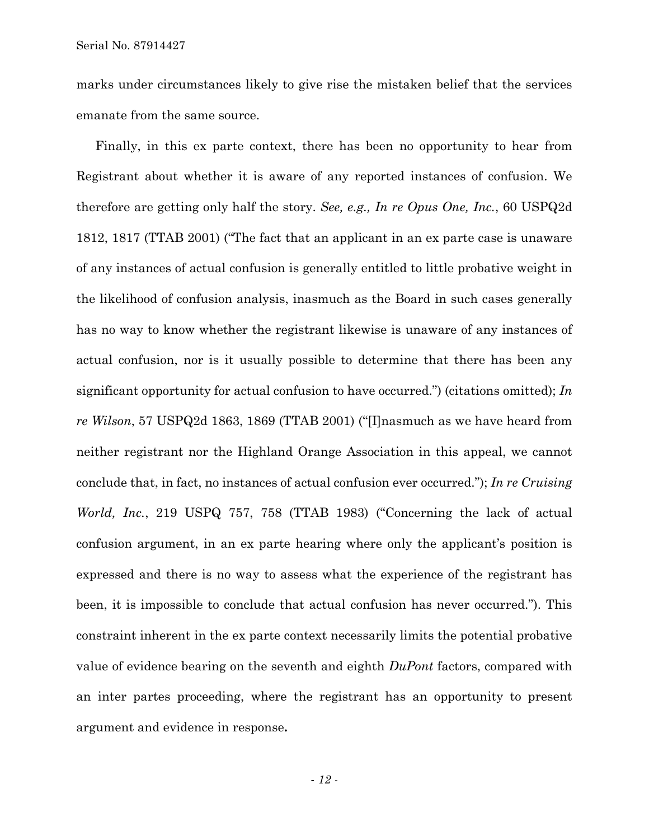marks under circumstances likely to give rise the mistaken belief that the services emanate from the same source.

Finally, in this ex parte context, there has been no opportunity to hear from Registrant about whether it is aware of any reported instances of confusion. We therefore are getting only half the story. *See, e.g., In re Opus One, Inc.*, 60 USPQ2d 1812, 1817 (TTAB 2001) ("The fact that an applicant in an ex parte case is unaware of any instances of actual confusion is generally entitled to little probative weight in the likelihood of confusion analysis, inasmuch as the Board in such cases generally has no way to know whether the registrant likewise is unaware of any instances of actual confusion, nor is it usually possible to determine that there has been any significant opportunity for actual confusion to have occurred.") (citations omitted); *In re Wilson*, 57 USPQ2d 1863, 1869 (TTAB 2001) ("[I]nasmuch as we have heard from neither registrant nor the Highland Orange Association in this appeal, we cannot conclude that, in fact, no instances of actual confusion ever occurred."); *In re Cruising World, Inc.*, 219 USPQ 757, 758 (TTAB 1983) ("Concerning the lack of actual confusion argument, in an ex parte hearing where only the applicant's position is expressed and there is no way to assess what the experience of the registrant has been, it is impossible to conclude that actual confusion has never occurred."). This constraint inherent in the ex parte context necessarily limits the potential probative value of evidence bearing on the seventh and eighth *DuPont* factors, compared with an inter partes proceeding, where the registrant has an opportunity to present argument and evidence in response**.** 

*- 12 -*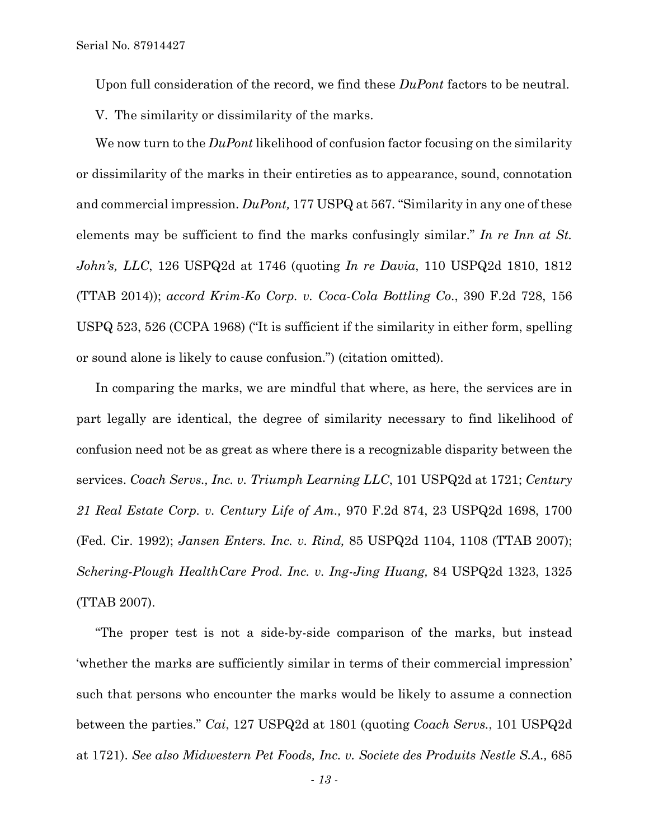Upon full consideration of the record, we find these *DuPont* factors to be neutral.

V. The similarity or dissimilarity of the marks.

We now turn to the *DuPont* likelihood of confusion factor focusing on the similarity or dissimilarity of the marks in their entireties as to appearance, sound, connotation and commercial impression. *DuPont,* 177 USPQ at 567*.* "Similarity in any one of these elements may be sufficient to find the marks confusingly similar." *In re Inn at St. John's, LLC*, 126 USPQ2d at 1746 (quoting *In re Davia*, 110 USPQ2d 1810, 1812 (TTAB 2014)); *accord Krim-Ko Corp. v. Coca-Cola Bottling Co*., 390 F.2d 728, 156 USPQ 523, 526 (CCPA 1968) ("It is sufficient if the similarity in either form, spelling or sound alone is likely to cause confusion.") (citation omitted)*.*

In comparing the marks, we are mindful that where, as here, the services are in part legally are identical, the degree of similarity necessary to find likelihood of confusion need not be as great as where there is a recognizable disparity between the services. *Coach Servs., Inc. v. Triumph Learning LLC*, 101 USPQ2d at 1721; *Century 21 Real Estate Corp. v. Century Life of Am.,* 970 F.2d 874, 23 USPQ2d 1698, 1700 (Fed. Cir. 1992); *Jansen Enters. Inc. v. Rind,* 85 USPQ2d 1104, 1108 (TTAB 2007); *Schering-Plough HealthCare Prod. Inc. v. Ing-Jing Huang,* 84 USPQ2d 1323, 1325 (TTAB 2007).

"The proper test is not a side-by-side comparison of the marks, but instead 'whether the marks are sufficiently similar in terms of their commercial impression' such that persons who encounter the marks would be likely to assume a connection between the parties." *Cai*, 127 USPQ2d at 1801 (quoting *Coach Servs.*, 101 USPQ2d at 1721). *See also Midwestern Pet Foods, Inc. v. Societe des Produits Nestle S.A.,* 685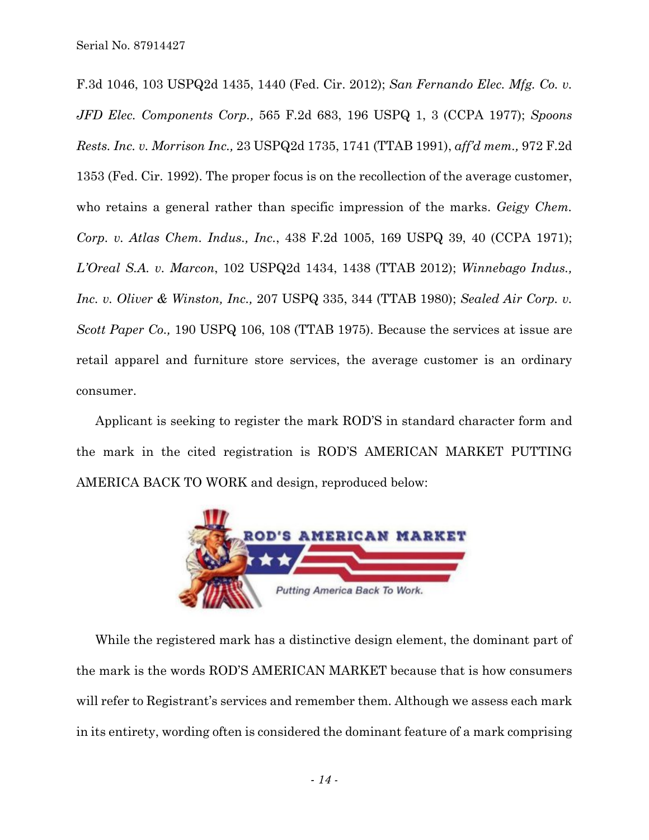F.3d 1046, 103 USPQ2d 1435, 1440 (Fed. Cir. 2012); *San Fernando Elec. Mfg. Co. v. JFD Elec. Components Corp.,* 565 F.2d 683, 196 USPQ 1, 3 (CCPA 1977); *Spoons Rests. Inc. v. Morrison Inc.,* 23 USPQ2d 1735, 1741 (TTAB 1991), *aff'd mem.,* 972 F.2d 1353 (Fed. Cir. 1992). The proper focus is on the recollection of the average customer, who retains a general rather than specific impression of the marks. *Geigy Chem. Corp. v. Atlas Chem. Indus., Inc.*, 438 F.2d 1005, 169 USPQ 39, 40 (CCPA 1971); *L'Oreal S.A. v. Marcon*, 102 USPQ2d 1434, 1438 (TTAB 2012); *Winnebago Indus., Inc. v. Oliver & Winston, Inc.,* 207 USPQ 335, 344 (TTAB 1980); *Sealed Air Corp. v. Scott Paper Co.,* 190 USPQ 106, 108 (TTAB 1975). Because the services at issue are retail apparel and furniture store services, the average customer is an ordinary consumer.

Applicant is seeking to register the mark ROD'S in standard character form and the mark in the cited registration is ROD'S AMERICAN MARKET PUTTING AMERICA BACK TO WORK and design, reproduced below:



While the registered mark has a distinctive design element, the dominant part of the mark is the words ROD'S AMERICAN MARKET because that is how consumers will refer to Registrant's services and remember them. Although we assess each mark in its entirety, wording often is considered the dominant feature of a mark comprising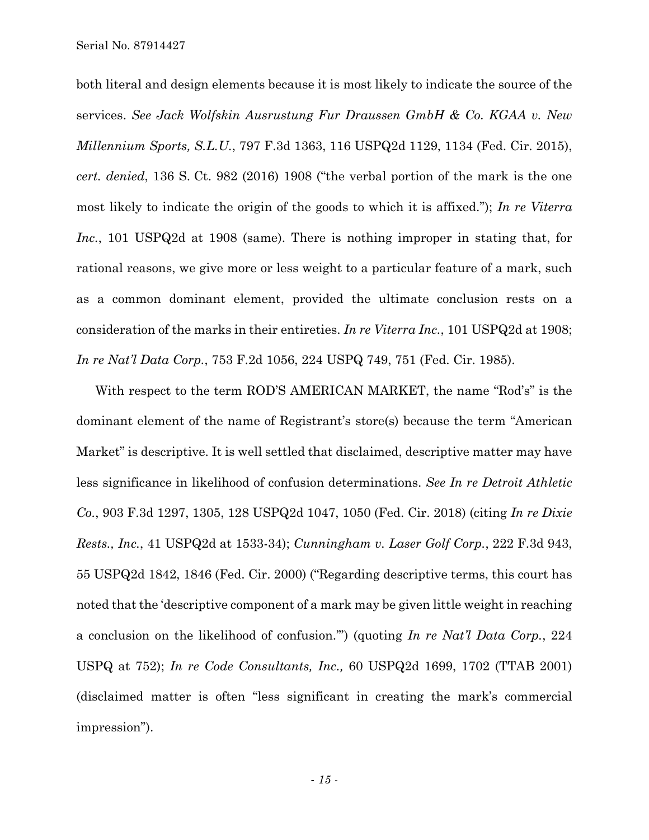both literal and design elements because it is most likely to indicate the source of the services. *See Jack Wolfskin Ausrustung Fur Draussen GmbH & Co. KGAA v. New Millennium Sports, S.L.U.*, 797 F.3d 1363, 116 USPQ2d 1129, 1134 (Fed. Cir. 2015), *cert. denied*, 136 S. Ct. 982 (2016) 1908 ("the verbal portion of the mark is the one most likely to indicate the origin of the goods to which it is affixed."); *In re Viterra Inc.*, 101 USPQ2d at 1908 (same). There is nothing improper in stating that, for rational reasons, we give more or less weight to a particular feature of a mark, such as a common dominant element, provided the ultimate conclusion rests on a consideration of the marks in their entireties. *In re Viterra Inc.*, 101 USPQ2d at 1908; *In re Nat'l Data Corp.*, 753 F.2d 1056, 224 USPQ 749, 751 (Fed. Cir. 1985).

With respect to the term ROD'S AMERICAN MARKET, the name "Rod's" is the dominant element of the name of Registrant's store(s) because the term "American Market" is descriptive. It is well settled that disclaimed, descriptive matter may have less significance in likelihood of confusion determinations. *See In re Detroit Athletic Co.*, 903 F.3d 1297, 1305, 128 USPQ2d 1047, 1050 (Fed. Cir. 2018) (citing *In re Dixie Rests., Inc.*, 41 USPQ2d at 1533-34); *Cunningham v. Laser Golf Corp.*, 222 F.3d 943, 55 USPQ2d 1842, 1846 (Fed. Cir. 2000) ("Regarding descriptive terms, this court has noted that the 'descriptive component of a mark may be given little weight in reaching a conclusion on the likelihood of confusion.'") (quoting *In re Nat'l Data Corp.*, 224 USPQ at 752); *In re Code Consultants, Inc.,* 60 USPQ2d 1699, 1702 (TTAB 2001) (disclaimed matter is often "less significant in creating the mark's commercial impression").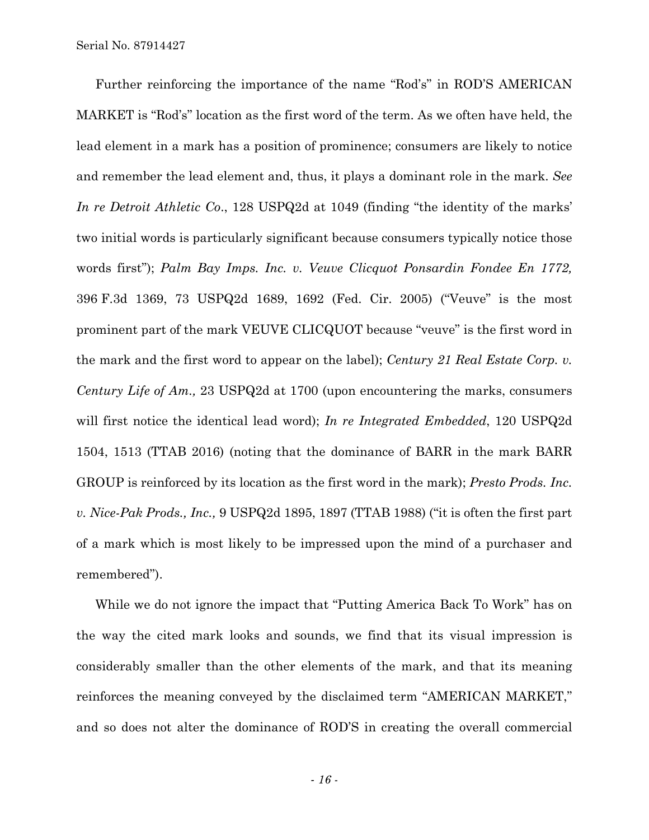Further reinforcing the importance of the name "Rod's" in ROD'S AMERICAN MARKET is "Rod's" location as the first word of the term. As we often have held, the lead element in a mark has a position of prominence; consumers are likely to notice and remember the lead element and, thus, it plays a dominant role in the mark. *See In re Detroit Athletic Co*., 128 USPQ2d at 1049 (finding "the identity of the marks' two initial words is particularly significant because consumers typically notice those words first"); *Palm Bay Imps. Inc. v. Veuve Clicquot Ponsardin Fondee En 1772,*  396 F.3d 1369, 73 USPQ2d 1689, 1692 (Fed. Cir. 2005) ("Veuve" is the most prominent part of the mark VEUVE CLICQUOT because "veuve" is the first word in the mark and the first word to appear on the label); *Century 21 Real Estate Corp. v. Century Life of Am.,* 23 USPQ2d at 1700 (upon encountering the marks, consumers will first notice the identical lead word); *In re Integrated Embedded*, 120 USPQ2d 1504, 1513 (TTAB 2016) (noting that the dominance of BARR in the mark BARR GROUP is reinforced by its location as the first word in the mark); *Presto Prods. Inc. v. Nice-Pak Prods., Inc.,* 9 USPQ2d 1895, 1897 (TTAB 1988) ("it is often the first part of a mark which is most likely to be impressed upon the mind of a purchaser and remembered").

While we do not ignore the impact that "Putting America Back To Work" has on the way the cited mark looks and sounds, we find that its visual impression is considerably smaller than the other elements of the mark, and that its meaning reinforces the meaning conveyed by the disclaimed term "AMERICAN MARKET," and so does not alter the dominance of ROD'S in creating the overall commercial

*- 16 -*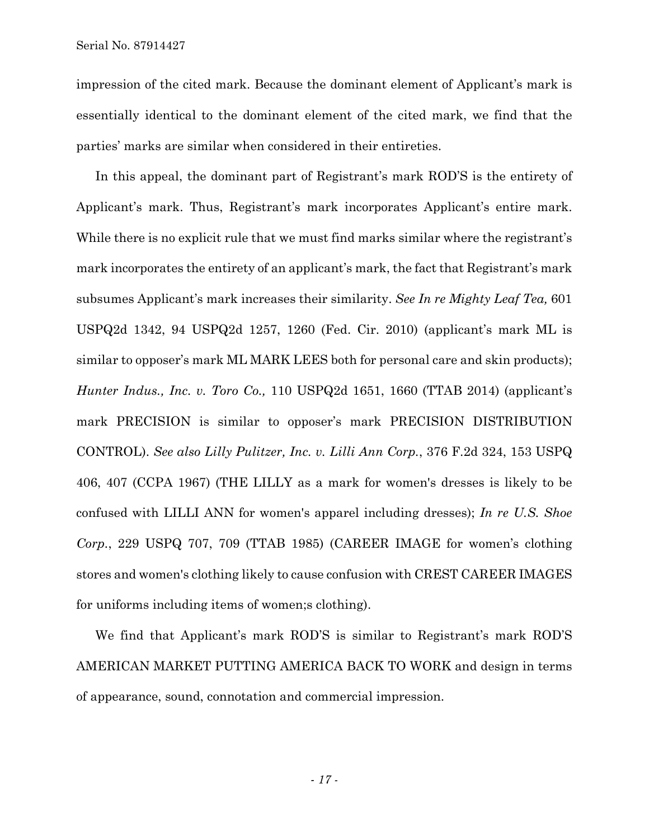impression of the cited mark. Because the dominant element of Applicant's mark is essentially identical to the dominant element of the cited mark, we find that the parties' marks are similar when considered in their entireties.

In this appeal, the dominant part of Registrant's mark ROD'S is the entirety of Applicant's mark. Thus, Registrant's mark incorporates Applicant's entire mark. While there is no explicit rule that we must find marks similar where the registrant's mark incorporates the entirety of an applicant's mark, the fact that Registrant's mark subsumes Applicant's mark increases their similarity. *See In re Mighty Leaf Tea,* 601 USPQ2d 1342, 94 USPQ2d 1257, 1260 (Fed. Cir. 2010) (applicant's mark ML is similar to opposer's mark ML MARK LEES both for personal care and skin products); *Hunter Indus., Inc. v. Toro Co.,* 110 USPQ2d 1651, 1660 (TTAB 2014) (applicant's mark PRECISION is similar to opposer's mark PRECISION DISTRIBUTION CONTROL). *See also Lilly Pulitzer, Inc. v. Lilli Ann Corp.*, 376 F.2d 324, 153 USPQ 406, 407 (CCPA 1967) (THE LILLY as a mark for women's dresses is likely to be confused with LILLI ANN for women's apparel including dresses); *In re U.S. Shoe Corp.*, 229 USPQ 707, 709 (TTAB 1985) (CAREER IMAGE for women's clothing stores and women's clothing likely to cause confusion with CREST CAREER IMAGES for uniforms including items of women;s clothing).

We find that Applicant's mark ROD'S is similar to Registrant's mark ROD'S AMERICAN MARKET PUTTING AMERICA BACK TO WORK and design in terms of appearance, sound, connotation and commercial impression.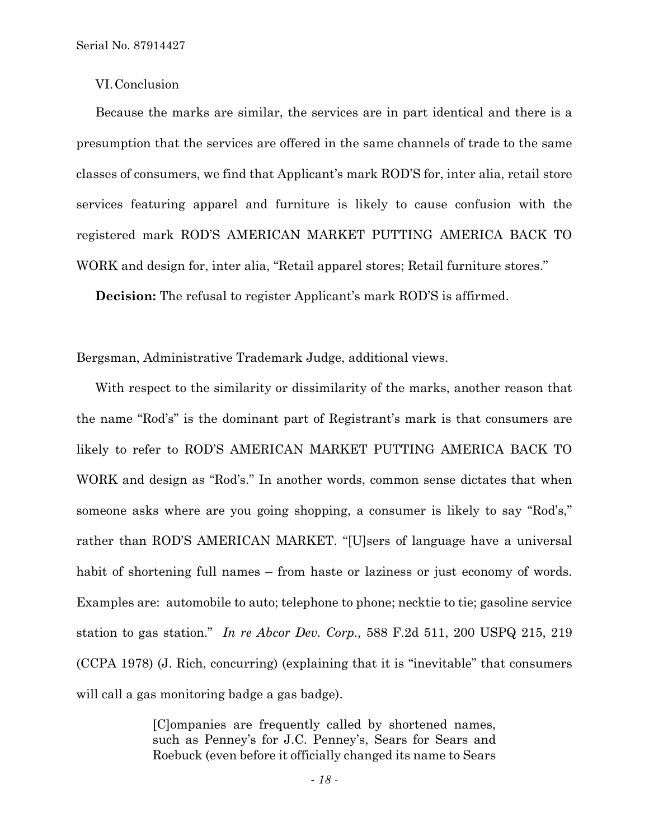## VI.Conclusion

Because the marks are similar, the services are in part identical and there is a presumption that the services are offered in the same channels of trade to the same classes of consumers, we find that Applicant's mark ROD'S for, inter alia, retail store services featuring apparel and furniture is likely to cause confusion with the registered mark ROD'S AMERICAN MARKET PUTTING AMERICA BACK TO WORK and design for, inter alia, "Retail apparel stores; Retail furniture stores."

**Decision:** The refusal to register Applicant's mark ROD'S is affirmed.

Bergsman, Administrative Trademark Judge, additional views.

With respect to the similarity or dissimilarity of the marks, another reason that the name "Rod's" is the dominant part of Registrant's mark is that consumers are likely to refer to ROD'S AMERICAN MARKET PUTTING AMERICA BACK TO WORK and design as "Rod's." In another words, common sense dictates that when someone asks where are you going shopping, a consumer is likely to say "Rod's," rather than ROD'S AMERICAN MARKET. "[U]sers of language have a universal habit of shortening full names – from haste or laziness or just economy of words. Examples are: automobile to auto; telephone to phone; necktie to tie; gasoline service station to gas station." *In re Abcor Dev. Corp.,* 588 F.2d 511, 200 USPQ 215, 219 (CCPA 1978) (J. Rich, concurring) (explaining that it is "inevitable" that consumers will call a gas monitoring badge a gas badge).

> [C]ompanies are frequently called by shortened names, such as Penney's for J.C. Penney's, Sears for Sears and Roebuck (even before it officially changed its name to Sears